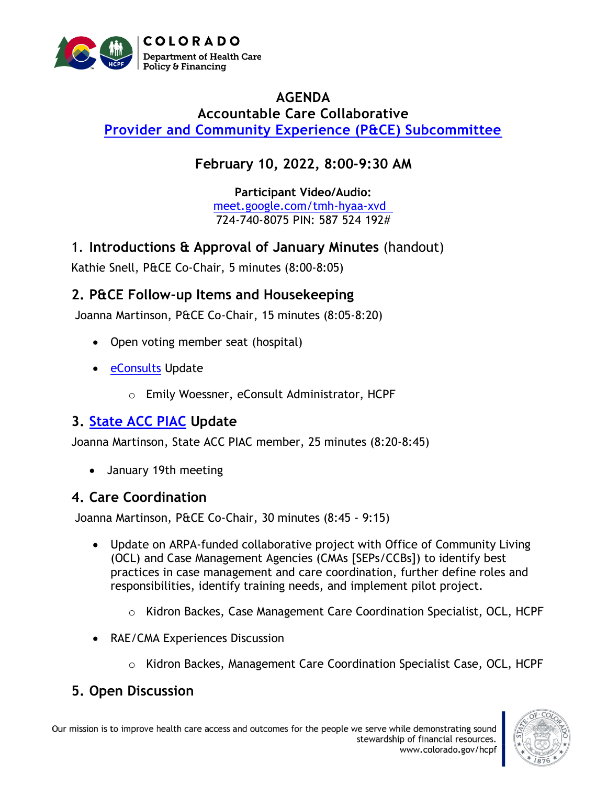

#### **AGENDA Accountable Care Collaborative [Provider and Community Experience \(P&CE\) Subcommittee](https://hcpf.colorado.gov/provider-and-community-experience-subcommittee)**

## **February 10, 2022, 8:00-9:30 AM**

**Participant Video/Audio:** [meet.google.com/tmh-hyaa-xvd](http://meet.google.com/tmh-hyaa-xvd)  724-740-8075 PIN: 587 524 192#

1. **Introductions & Approval of January Minutes** (handout)

Kathie Snell, P&CE Co-Chair, 5 minutes (8:00-8:05)

## **2. P&CE Follow-up Items and Housekeeping**

Joanna Martinson, P&CE Co-Chair, 15 minutes (8:05-8:20)

- Open voting member seat (hospital)
- [eConsults](https://hcpf.colorado.gov/stakeholder-telemedicine) Update
	- o Emily Woessner, eConsult Administrator, HCPF

## **3. [State ACC PIAC](https://www.colorado.gov/pacific/hcpf/accountable-care-collaborative-program-improvement-advisory-committee) Update**

Joanna Martinson, State ACC PIAC member, 25 minutes (8:20-8:45)

• January 19th meeting

## **4. Care Coordination**

Joanna Martinson, P&CE Co-Chair, 30 minutes (8:45 - 9:15)

- Update on ARPA-funded collaborative project with Office of Community Living (OCL) and Case Management Agencies (CMAs [SEPs/CCBs]) to identify best practices in case management and care coordination, further define roles and responsibilities, identify training needs, and implement pilot project.
	- $\circ$  Kidron Backes, Case Management Care Coordination Specialist, OCL, HCPF
- RAE/CMA Experiences Discussion
	- o Kidron Backes, Management Care Coordination Specialist Case, OCL, HCPF

# **5. Open Discussion**